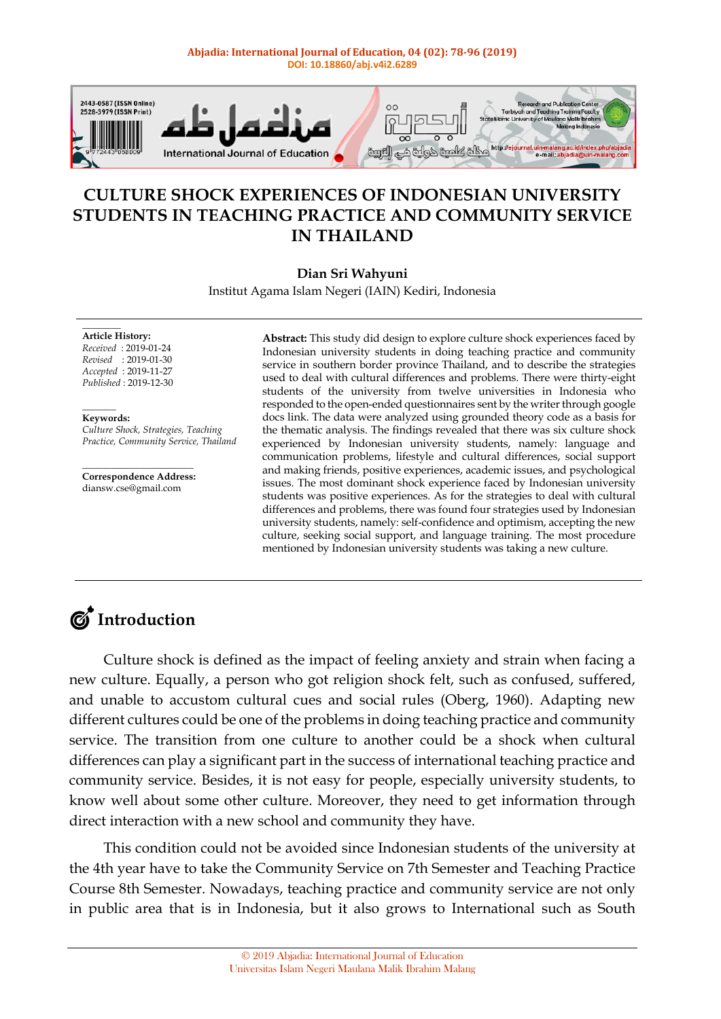#### **Abjadia: International Journal of Education, 04 (02): 78-96 (2019) DOI: 10.18860/abj.v4i2.6289**



### **CULTURE SHOCK EXPERIENCES OF INDONESIAN UNIVERSITY STUDENTS IN TEACHING PRACTICE AND COMMUNITY SERVICE IN THAILAND**

#### **Dian Sri Wahyuni**

Institut Agama Islam Negeri (IAIN) Kediri, Indonesia

**Article History:** *Received* : 2019-01-24 *Revised* : 2019-01-30 *Accepted* : 2019-11-27 *Published* : 2019-12-30

 $\overline{\phantom{a}}$ **Keywords:**

 $\overline{\phantom{a}}$ 

*Culture Shock, Strategies, Teaching Practice, Community Service, Thailand*

 $\overline{\phantom{a}}$  , where  $\overline{\phantom{a}}$  , where  $\overline{\phantom{a}}$  , where  $\overline{\phantom{a}}$ **Correspondence Address:** diansw.cse@gmail.com

**Abstract:** This study did design to explore culture shock experiences faced by Indonesian university students in doing teaching practice and community service in southern border province Thailand, and to describe the strategies used to deal with cultural differences and problems. There were thirty-eight students of the university from twelve universities in Indonesia who responded to the open-ended questionnaires sent by the writer through google docs link. The data were analyzed using grounded theory code as a basis for the thematic analysis. The findings revealed that there was six culture shock experienced by Indonesian university students, namely: language and communication problems, lifestyle and cultural differences, social support and making friends, positive experiences, academic issues, and psychological issues. The most dominant shock experience faced by Indonesian university students was positive experiences. As for the strategies to deal with cultural differences and problems, there was found four strategies used by Indonesian university students, namely: self-confidence and optimism, accepting the new culture, seeking social support, and language training. The most procedure mentioned by Indonesian university students was taking a new culture.

## $\mathcal{C}$  Introduction

Culture shock is defined as the impact of feeling anxiety and strain when facing a new culture. Equally, a person who got religion shock felt, such as confused, suffered, and unable to accustom cultural cues and social rules (Oberg, 1960). Adapting new different cultures could be one of the problems in doing teaching practice and community service. The transition from one culture to another could be a shock when cultural differences can play a significant part in the success of international teaching practice and community service. Besides, it is not easy for people, especially university students, to know well about some other culture. Moreover, they need to get information through direct interaction with a new school and community they have.

This condition could not be avoided since Indonesian students of the university at the 4th year have to take the Community Service on 7th Semester and Teaching Practice Course 8th Semester. Nowadays, teaching practice and community service are not only in public area that is in Indonesia, but it also grows to International such as South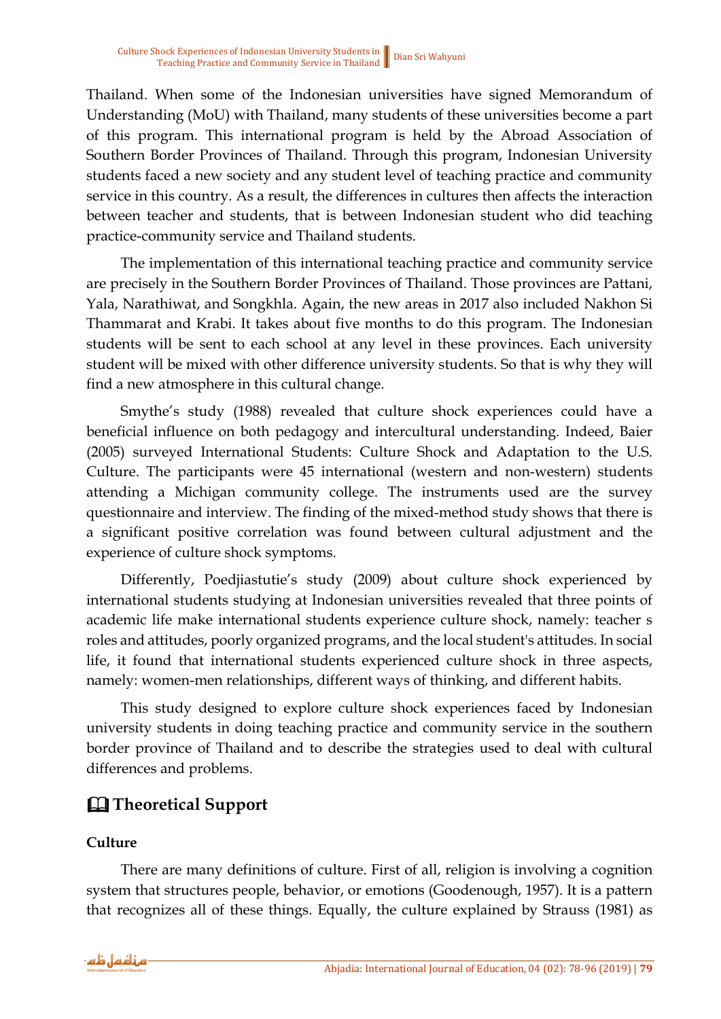Thailand. When some of the Indonesian universities have signed Memorandum of Understanding (MoU) with Thailand, many students of these universities become a part of this program. This international program is held by the Abroad Association of Southern Border Provinces of Thailand. Through this program, Indonesian University students faced a new society and any student level of teaching practice and community service in this country. As a result, the differences in cultures then affects the interaction between teacher and students, that is between Indonesian student who did teaching practice-community service and Thailand students.

The implementation of this international teaching practice and community service are precisely in the Southern Border Provinces of Thailand. Those provinces are Pattani, Yala, Narathiwat, and Songkhla. Again, the new areas in 2017 also included Nakhon Si Thammarat and Krabi. It takes about five months to do this program. The Indonesian students will be sent to each school at any level in these provinces. Each university student will be mixed with other difference university students. So that is why they will find a new atmosphere in this cultural change.

Smythe's study (1988) revealed that culture shock experiences could have a beneficial influence on both pedagogy and intercultural understanding. Indeed, Baier (2005) surveyed International Students: Culture Shock and Adaptation to the U.S. Culture. The participants were 45 international (western and non-western) students attending a Michigan community college. The instruments used are the survey questionnaire and interview. The finding of the mixed-method study shows that there is a significant positive correlation was found between cultural adjustment and the experience of culture shock symptoms.

Differently, Poedjiastutie's study (2009) about culture shock experienced by international students studying at Indonesian universities revealed that three points of academic life make international students experience culture shock, namely: teacher s roles and attitudes, poorly organized programs, and the local student's attitudes. In social life, it found that international students experienced culture shock in three aspects, namely: women-men relationships, different ways of thinking, and different habits.

This study designed to explore culture shock experiences faced by Indonesian university students in doing teaching practice and community service in the southern border province of Thailand and to describe the strategies used to deal with cultural differences and problems.

### & **Theoretical Support**

#### **Culture**

There are many definitions of culture. First of all, religion is involving a cognition system that structures people, behavior, or emotions (Goodenough, 1957). It is a pattern that recognizes all of these things. Equally, the culture explained by Strauss (1981) as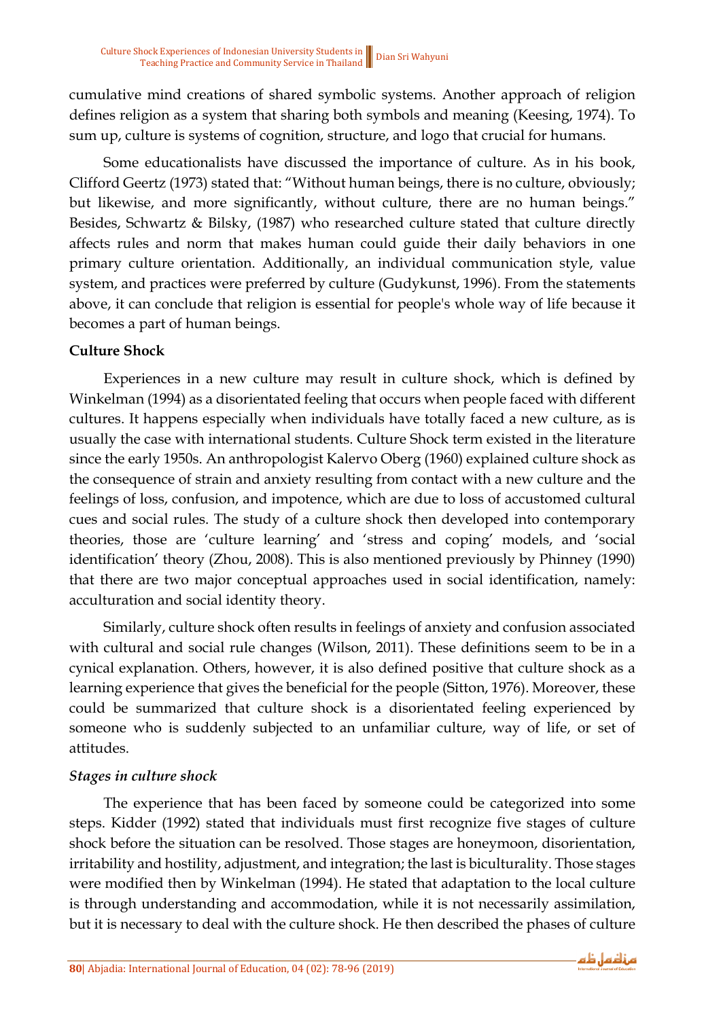cumulative mind creations of shared symbolic systems. Another approach of religion defines religion as a system that sharing both symbols and meaning (Keesing, 1974). To sum up, culture is systems of cognition, structure, and logo that crucial for humans.

Some educationalists have discussed the importance of culture. As in his book, Clifford Geertz (1973) stated that: "Without human beings, there is no culture, obviously; but likewise, and more significantly, without culture, there are no human beings." Besides, Schwartz & Bilsky, (1987) who researched culture stated that culture directly affects rules and norm that makes human could guide their daily behaviors in one primary culture orientation. Additionally, an individual communication style, value system, and practices were preferred by culture (Gudykunst, 1996). From the statements above, it can conclude that religion is essential for people's whole way of life because it becomes a part of human beings.

#### **Culture Shock**

Experiences in a new culture may result in culture shock, which is defined by Winkelman (1994) as a disorientated feeling that occurs when people faced with different cultures. It happens especially when individuals have totally faced a new culture, as is usually the case with international students. Culture Shock term existed in the literature since the early 1950s. An anthropologist Kalervo Oberg (1960) explained culture shock as the consequence of strain and anxiety resulting from contact with a new culture and the feelings of loss, confusion, and impotence, which are due to loss of accustomed cultural cues and social rules. The study of a culture shock then developed into contemporary theories, those are 'culture learning' and 'stress and coping' models, and 'social identification' theory (Zhou, 2008). This is also mentioned previously by Phinney (1990) that there are two major conceptual approaches used in social identification, namely: acculturation and social identity theory.

Similarly, culture shock often results in feelings of anxiety and confusion associated with cultural and social rule changes (Wilson, 2011). These definitions seem to be in a cynical explanation. Others, however, it is also defined positive that culture shock as a learning experience that gives the beneficial for the people (Sitton, 1976). Moreover, these could be summarized that culture shock is a disorientated feeling experienced by someone who is suddenly subjected to an unfamiliar culture, way of life, or set of attitudes.

#### *Stages in culture shock*

The experience that has been faced by someone could be categorized into some steps. Kidder (1992) stated that individuals must first recognize five stages of culture shock before the situation can be resolved. Those stages are honeymoon, disorientation, irritability and hostility, adjustment, and integration; the last is biculturality. Those stages were modified then by Winkelman (1994). He stated that adaptation to the local culture is through understanding and accommodation, while it is not necessarily assimilation, but it is necessary to deal with the culture shock. He then described the phases of culture

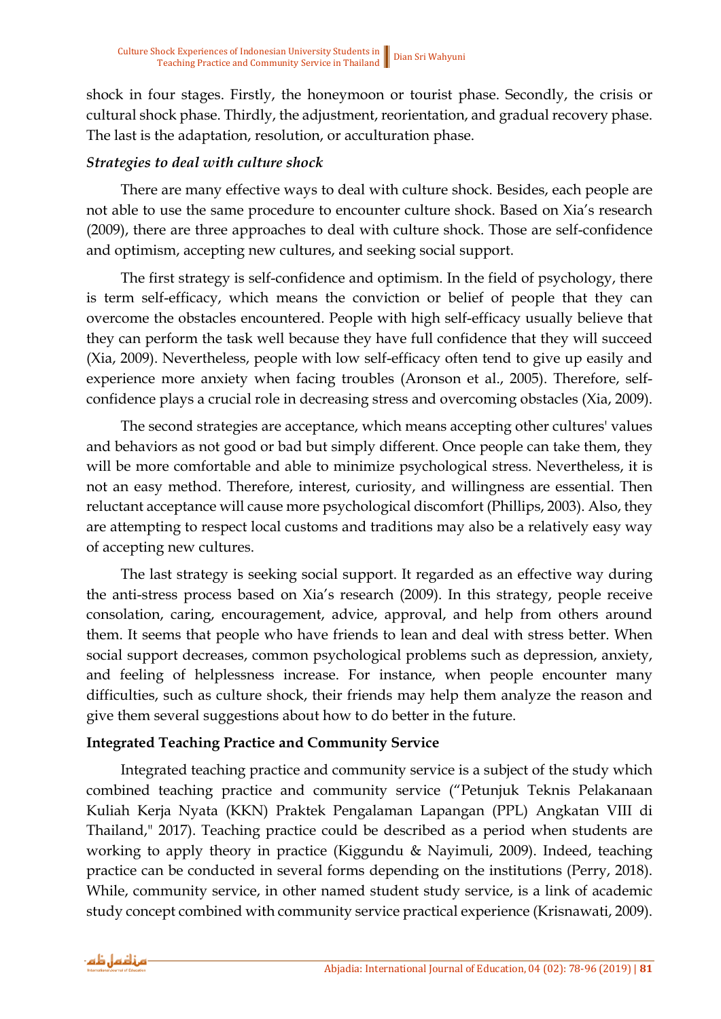shock in four stages. Firstly, the honeymoon or tourist phase. Secondly, the crisis or cultural shock phase. Thirdly, the adjustment, reorientation, and gradual recovery phase. The last is the adaptation, resolution, or acculturation phase.

#### *Strategies to deal with culture shock*

There are many effective ways to deal with culture shock. Besides, each people are not able to use the same procedure to encounter culture shock. Based on Xia's research (2009), there are three approaches to deal with culture shock. Those are self-confidence and optimism, accepting new cultures, and seeking social support.

The first strategy is self-confidence and optimism. In the field of psychology, there is term self-efficacy, which means the conviction or belief of people that they can overcome the obstacles encountered. People with high self-efficacy usually believe that they can perform the task well because they have full confidence that they will succeed (Xia, 2009). Nevertheless, people with low self-efficacy often tend to give up easily and experience more anxiety when facing troubles (Aronson et al., 2005). Therefore, selfconfidence plays a crucial role in decreasing stress and overcoming obstacles (Xia, 2009).

The second strategies are acceptance, which means accepting other cultures' values and behaviors as not good or bad but simply different. Once people can take them, they will be more comfortable and able to minimize psychological stress. Nevertheless, it is not an easy method. Therefore, interest, curiosity, and willingness are essential. Then reluctant acceptance will cause more psychological discomfort (Phillips, 2003). Also, they are attempting to respect local customs and traditions may also be a relatively easy way of accepting new cultures.

The last strategy is seeking social support. It regarded as an effective way during the anti-stress process based on Xia's research (2009). In this strategy, people receive consolation, caring, encouragement, advice, approval, and help from others around them. It seems that people who have friends to lean and deal with stress better. When social support decreases, common psychological problems such as depression, anxiety, and feeling of helplessness increase. For instance, when people encounter many difficulties, such as culture shock, their friends may help them analyze the reason and give them several suggestions about how to do better in the future.

#### **Integrated Teaching Practice and Community Service**

Integrated teaching practice and community service is a subject of the study which combined teaching practice and community service ("Petunjuk Teknis Pelakanaan Kuliah Kerja Nyata (KKN) Praktek Pengalaman Lapangan (PPL) Angkatan VIII di Thailand," 2017). Teaching practice could be described as a period when students are working to apply theory in practice (Kiggundu & Nayimuli, 2009). Indeed, teaching practice can be conducted in several forms depending on the institutions (Perry, 2018). While, community service, in other named student study service, is a link of academic study concept combined with community service practical experience (Krisnawati, 2009).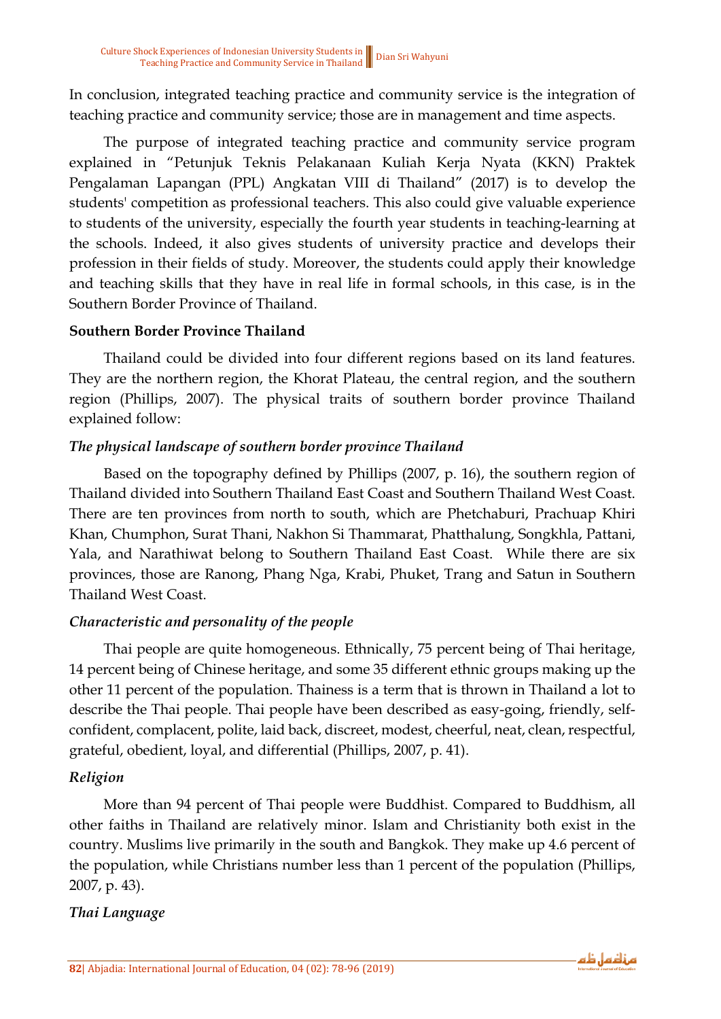In conclusion, integrated teaching practice and community service is the integration of teaching practice and community service; those are in management and time aspects.

The purpose of integrated teaching practice and community service program explained in "Petunjuk Teknis Pelakanaan Kuliah Kerja Nyata (KKN) Praktek Pengalaman Lapangan (PPL) Angkatan VIII di Thailand" (2017) is to develop the students' competition as professional teachers. This also could give valuable experience to students of the university, especially the fourth year students in teaching-learning at the schools. Indeed, it also gives students of university practice and develops their profession in their fields of study. Moreover, the students could apply their knowledge and teaching skills that they have in real life in formal schools, in this case, is in the Southern Border Province of Thailand.

#### **Southern Border Province Thailand**

Thailand could be divided into four different regions based on its land features. They are the northern region, the Khorat Plateau, the central region, and the southern region (Phillips, 2007). The physical traits of southern border province Thailand explained follow:

#### *The physical landscape of southern border province Thailand*

Based on the topography defined by Phillips (2007, p. 16), the southern region of Thailand divided into Southern Thailand East Coast and Southern Thailand West Coast. There are ten provinces from north to south, which are Phetchaburi, Prachuap Khiri Khan, Chumphon, Surat Thani, Nakhon Si Thammarat, Phatthalung, Songkhla, Pattani, Yala, and Narathiwat belong to Southern Thailand East Coast. While there are six provinces, those are Ranong, Phang Nga, Krabi, Phuket, Trang and Satun in Southern Thailand West Coast.

#### *Characteristic and personality of the people*

Thai people are quite homogeneous. Ethnically, 75 percent being of Thai heritage, 14 percent being of Chinese heritage, and some 35 different ethnic groups making up the other 11 percent of the population. Thainess is a term that is thrown in Thailand a lot to describe the Thai people. Thai people have been described as easy-going, friendly, selfconfident, complacent, polite, laid back, discreet, modest, cheerful, neat, clean, respectful, grateful, obedient, loyal, and differential (Phillips, 2007, p. 41).

#### *Religion*

More than 94 percent of Thai people were Buddhist. Compared to Buddhism, all other faiths in Thailand are relatively minor. Islam and Christianity both exist in the country. Muslims live primarily in the south and Bangkok. They make up 4.6 percent of the population, while Christians number less than 1 percent of the population (Phillips, 2007, p. 43).

#### *Thai Language*

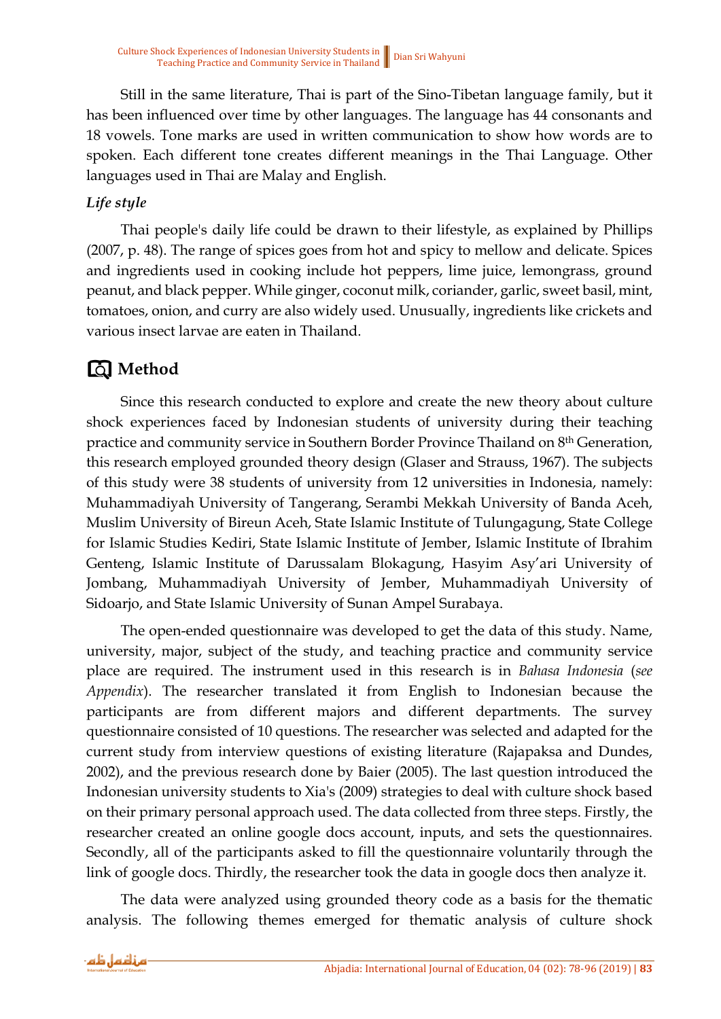Still in the same literature, Thai is part of the Sino-Tibetan language family, but it has been influenced over time by other languages. The language has 44 consonants and 18 vowels. Tone marks are used in written communication to show how words are to spoken. Each different tone creates different meanings in the Thai Language. Other languages used in Thai are Malay and English.

### *Life style*

Thai people's daily life could be drawn to their lifestyle, as explained by Phillips (2007, p. 48). The range of spices goes from hot and spicy to mellow and delicate. Spices and ingredients used in cooking include hot peppers, lime juice, lemongrass, ground peanut, and black pepper. While ginger, coconut milk, coriander, garlic, sweet basil, mint, tomatoes, onion, and curry are also widely used. Unusually, ingredients like crickets and various insect larvae are eaten in Thailand.

### **Method**

Since this research conducted to explore and create the new theory about culture shock experiences faced by Indonesian students of university during their teaching practice and community service in Southern Border Province Thailand on 8th Generation, this research employed grounded theory design (Glaser and Strauss, 1967). The subjects of this study were 38 students of university from 12 universities in Indonesia, namely: Muhammadiyah University of Tangerang, Serambi Mekkah University of Banda Aceh, Muslim University of Bireun Aceh, State Islamic Institute of Tulungagung, State College for Islamic Studies Kediri, State Islamic Institute of Jember, Islamic Institute of Ibrahim Genteng, Islamic Institute of Darussalam Blokagung, Hasyim Asy'ari University of Jombang, Muhammadiyah University of Jember, Muhammadiyah University of Sidoarjo, and State Islamic University of Sunan Ampel Surabaya.

The open-ended questionnaire was developed to get the data of this study. Name, university, major, subject of the study, and teaching practice and community service place are required. The instrument used in this research is in *Bahasa Indonesia* (*see Appendix*). The researcher translated it from English to Indonesian because the participants are from different majors and different departments. The survey questionnaire consisted of 10 questions. The researcher was selected and adapted for the current study from interview questions of existing literature (Rajapaksa and Dundes, 2002), and the previous research done by Baier (2005). The last question introduced the Indonesian university students to Xia's (2009) strategies to deal with culture shock based on their primary personal approach used. The data collected from three steps. Firstly, the researcher created an online google docs account, inputs, and sets the questionnaires. Secondly, all of the participants asked to fill the questionnaire voluntarily through the link of google docs. Thirdly, the researcher took the data in google docs then analyze it.

The data were analyzed using grounded theory code as a basis for the thematic analysis. The following themes emerged for thematic analysis of culture shock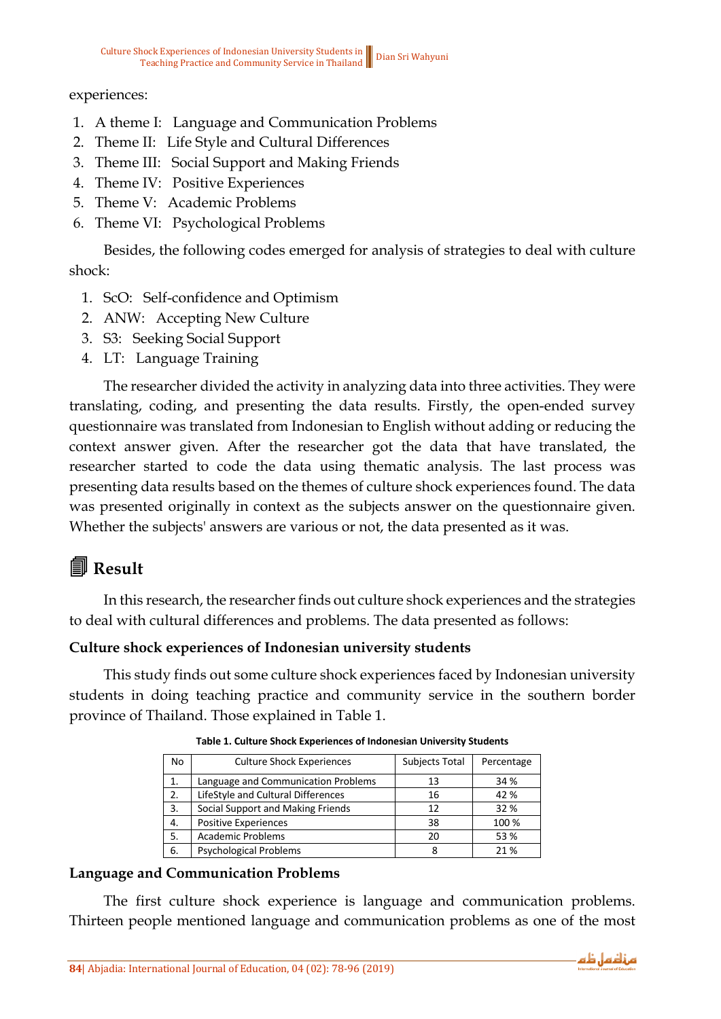#### experiences:

- 1. A theme I: Language and Communication Problems
- 2. Theme II: Life Style and Cultural Differences
- 3. Theme III: Social Support and Making Friends
- 4. Theme IV: Positive Experiences
- 5. Theme V: Academic Problems
- 6. Theme VI: Psychological Problems

Besides, the following codes emerged for analysis of strategies to deal with culture shock:

- 1. ScO: Self-confidence and Optimism
- 2. ANW: Accepting New Culture
- 3. S3: Seeking Social Support
- 4. LT: Language Training

The researcher divided the activity in analyzing data into three activities. They were translating, coding, and presenting the data results. Firstly, the open-ended survey questionnaire was translated from Indonesian to English without adding or reducing the context answer given. After the researcher got the data that have translated, the researcher started to code the data using thematic analysis. The last process was presenting data results based on the themes of culture shock experiences found. The data was presented originally in context as the subjects answer on the questionnaire given. Whether the subjects' answers are various or not, the data presented as it was.

## 4 **Result**

In this research, the researcher finds out culture shock experiences and the strategies to deal with cultural differences and problems. The data presented as follows:

#### **Culture shock experiences of Indonesian university students**

This study finds out some culture shock experiences faced by Indonesian university students in doing teaching practice and community service in the southern border province of Thailand. Those explained in Table 1.

| <b>No</b> | <b>Culture Shock Experiences</b>    | Subjects Total | Percentage |
|-----------|-------------------------------------|----------------|------------|
| 1.        | Language and Communication Problems | 13             | 34 %       |
| 2.        | LifeStyle and Cultural Differences  | 16             | 42 %       |
| 3.        | Social Support and Making Friends   | 12             | 32 %       |
| 4.        | Positive Experiences                | 38             | 100 %      |
| 5.        | <b>Academic Problems</b>            | 20             | 53 %       |
| 6.        | <b>Psychological Problems</b>       | 8              | 21 %       |

**Table 1. Culture Shock Experiences of Indonesian University Students**

#### **Language and Communication Problems**

The first culture shock experience is language and communication problems. Thirteen people mentioned language and communication problems as one of the most

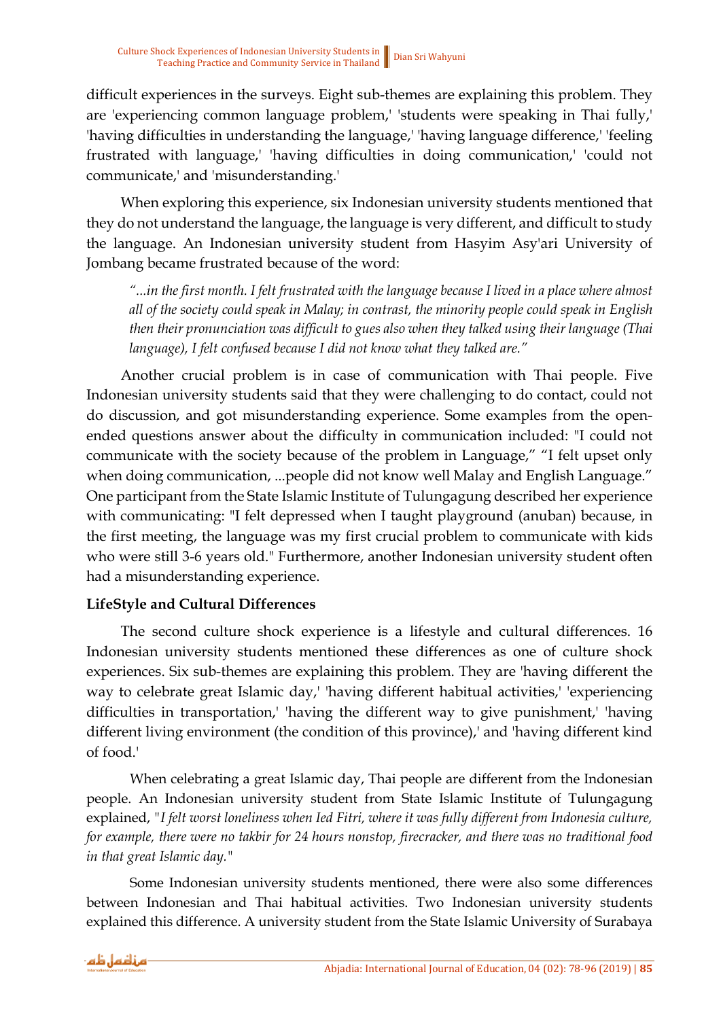difficult experiences in the surveys. Eight sub-themes are explaining this problem. They are 'experiencing common language problem,' 'students were speaking in Thai fully,' 'having difficulties in understanding the language,' 'having language difference,' 'feeling frustrated with language,' 'having difficulties in doing communication,' 'could not communicate,' and 'misunderstanding.'

When exploring this experience, six Indonesian university students mentioned that they do not understand the language, the language is very different, and difficult to study the language. An Indonesian university student from Hasyim Asy'ari University of Jombang became frustrated because of the word:

*"...in the first month. I felt frustrated with the language because I lived in a place where almost all of the society could speak in Malay; in contrast, the minority people could speak in English then their pronunciation was difficult to gues also when they talked using their language (Thai language), I felt confused because I did not know what they talked are."*

Another crucial problem is in case of communication with Thai people. Five Indonesian university students said that they were challenging to do contact, could not do discussion, and got misunderstanding experience. Some examples from the openended questions answer about the difficulty in communication included: "I could not communicate with the society because of the problem in Language," "I felt upset only when doing communication, ...people did not know well Malay and English Language." One participant from the State Islamic Institute of Tulungagung described her experience with communicating: "I felt depressed when I taught playground (anuban) because, in the first meeting, the language was my first crucial problem to communicate with kids who were still 3-6 years old." Furthermore, another Indonesian university student often had a misunderstanding experience.

#### **LifeStyle and Cultural Differences**

The second culture shock experience is a lifestyle and cultural differences. 16 Indonesian university students mentioned these differences as one of culture shock experiences. Six sub-themes are explaining this problem. They are 'having different the way to celebrate great Islamic day,' 'having different habitual activities,' 'experiencing difficulties in transportation,' 'having the different way to give punishment,' 'having different living environment (the condition of this province),' and 'having different kind of food.'

When celebrating a great Islamic day, Thai people are different from the Indonesian people. An Indonesian university student from State Islamic Institute of Tulungagung explained, *"I felt worst loneliness when Ied Fitri, where it was fully different from Indonesia culture, for example, there were no takbir for 24 hours nonstop, firecracker, and there was no traditional food in that great Islamic day."*

Some Indonesian university students mentioned, there were also some differences between Indonesian and Thai habitual activities. Two Indonesian university students explained this difference. A university student from the State Islamic University of Surabaya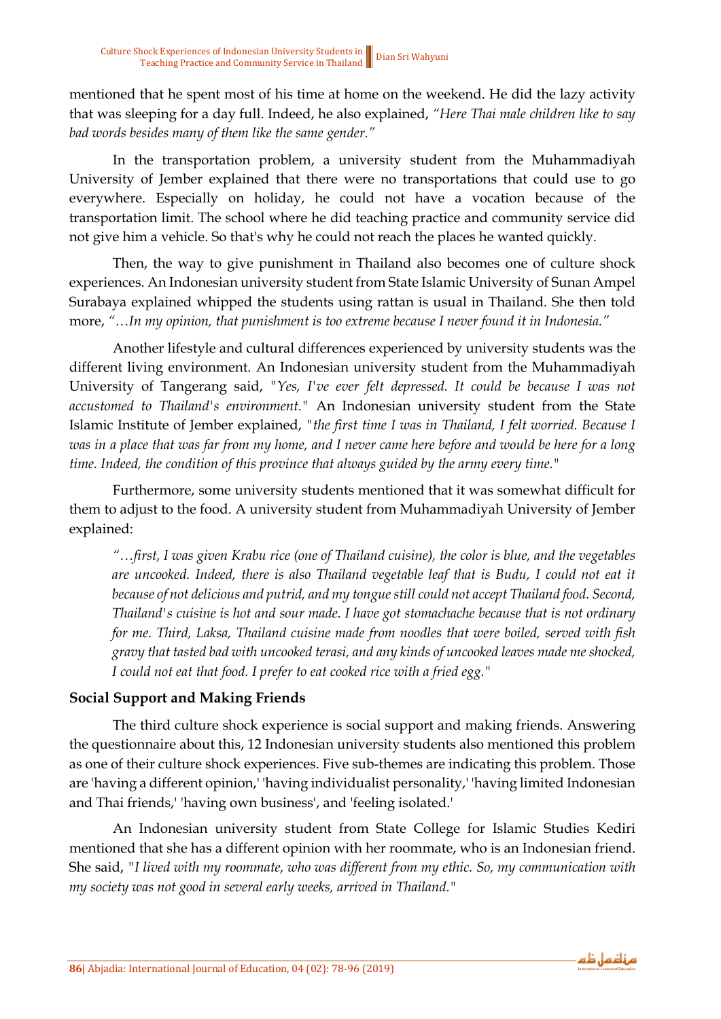mentioned that he spent most of his time at home on the weekend. He did the lazy activity that was sleeping for a day full. Indeed, he also explained, *"Here Thai male children like to say bad words besides many of them like the same gender."*

In the transportation problem, a university student from the Muhammadiyah University of Jember explained that there were no transportations that could use to go everywhere. Especially on holiday, he could not have a vocation because of the transportation limit. The school where he did teaching practice and community service did not give him a vehicle. So that's why he could not reach the places he wanted quickly.

Then, the way to give punishment in Thailand also becomes one of culture shock experiences. An Indonesian university student from State Islamic University of Sunan Ampel Surabaya explained whipped the students using rattan is usual in Thailand. She then told more, *"…In my opinion, that punishment is too extreme because I never found it in Indonesia."*

Another lifestyle and cultural differences experienced by university students was the different living environment. An Indonesian university student from the Muhammadiyah University of Tangerang said, *"Yes, I've ever felt depressed. It could be because I was not accustomed to Thailand's environment."* An Indonesian university student from the State Islamic Institute of Jember explained, *"the first time I was in Thailand, I felt worried. Because I was in a place that was far from my home, and I never came here before and would be here for a long time. Indeed, the condition of this province that always guided by the army every time."*

Furthermore, some university students mentioned that it was somewhat difficult for them to adjust to the food. A university student from Muhammadiyah University of Jember explained:

*"…first, I was given Krabu rice (one of Thailand cuisine), the color is blue, and the vegetables are uncooked. Indeed, there is also Thailand vegetable leaf that is Budu, I could not eat it because of not delicious and putrid, and my tongue still could not accept Thailand food. Second, Thailand's cuisine is hot and sour made. I have got stomachache because that is not ordinary for me. Third, Laksa, Thailand cuisine made from noodles that were boiled, served with fish gravy that tasted bad with uncooked terasi, and any kinds of uncooked leaves made me shocked, I could not eat that food. I prefer to eat cooked rice with a fried egg."*

#### **Social Support and Making Friends**

The third culture shock experience is social support and making friends. Answering the questionnaire about this, 12 Indonesian university students also mentioned this problem as one of their culture shock experiences. Five sub-themes are indicating this problem. Those are 'having a different opinion,' 'having individualist personality,' 'having limited Indonesian and Thai friends,' 'having own business', and 'feeling isolated.'

An Indonesian university student from State College for Islamic Studies Kediri mentioned that she has a different opinion with her roommate, who is an Indonesian friend. She said, *"I lived with my roommate, who was different from my ethic. So, my communication with my society was not good in several early weeks, arrived in Thailand."*

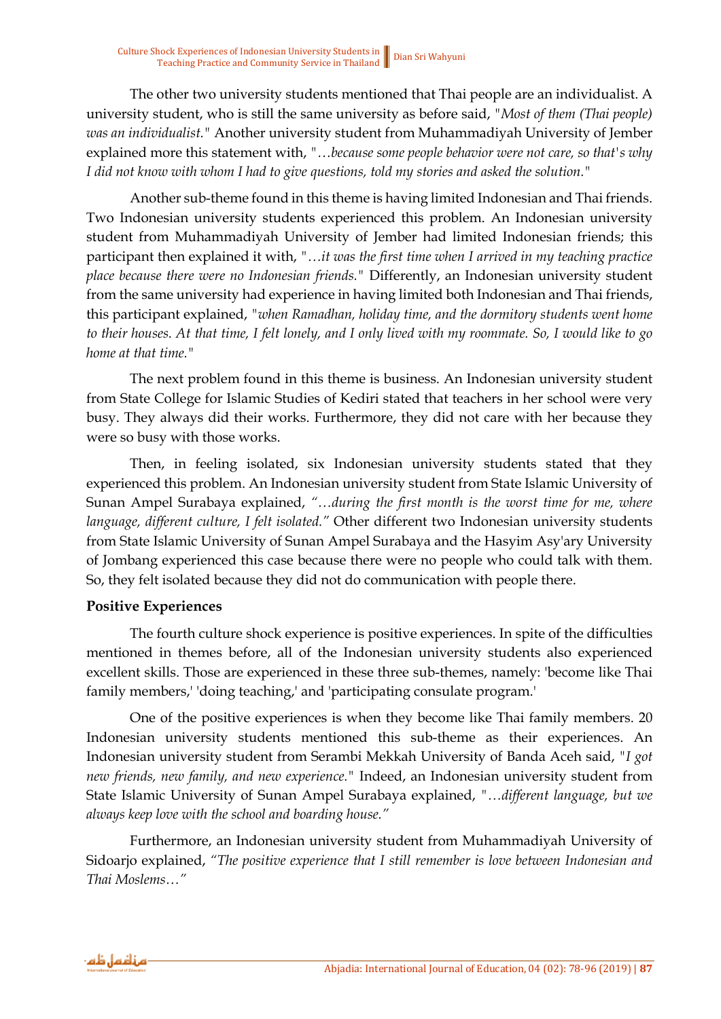The other two university students mentioned that Thai people are an individualist. A university student, who is still the same university as before said, *"Most of them (Thai people) was an individualist."* Another university student from Muhammadiyah University of Jember explained more this statement with, *"…because some people behavior were not care, so that's why I did not know with whom I had to give questions, told my stories and asked the solution."*

Another sub-theme found in this theme is having limited Indonesian and Thai friends. Two Indonesian university students experienced this problem. An Indonesian university student from Muhammadiyah University of Jember had limited Indonesian friends; this participant then explained it with, *"…it was the first time when I arrived in my teaching practice place because there were no Indonesian friends."* Differently, an Indonesian university student from the same university had experience in having limited both Indonesian and Thai friends, this participant explained, *"when Ramadhan, holiday time, and the dormitory students went home to their houses. At that time, I felt lonely, and I only lived with my roommate. So, I would like to go home at that time."*

The next problem found in this theme is business. An Indonesian university student from State College for Islamic Studies of Kediri stated that teachers in her school were very busy. They always did their works. Furthermore, they did not care with her because they were so busy with those works.

Then, in feeling isolated, six Indonesian university students stated that they experienced this problem. An Indonesian university student from State Islamic University of Sunan Ampel Surabaya explained, *"…during the first month is the worst time for me, where language, different culture, I felt isolated."* Other different two Indonesian university students from State Islamic University of Sunan Ampel Surabaya and the Hasyim Asy'ary University of Jombang experienced this case because there were no people who could talk with them. So, they felt isolated because they did not do communication with people there.

#### **Positive Experiences**

The fourth culture shock experience is positive experiences. In spite of the difficulties mentioned in themes before, all of the Indonesian university students also experienced excellent skills. Those are experienced in these three sub-themes, namely: 'become like Thai family members,' 'doing teaching,' and 'participating consulate program.'

One of the positive experiences is when they become like Thai family members. 20 Indonesian university students mentioned this sub-theme as their experiences. An Indonesian university student from Serambi Mekkah University of Banda Aceh said, *"I got new friends, new family, and new experience."* Indeed, an Indonesian university student from State Islamic University of Sunan Ampel Surabaya explained, *"…different language, but we always keep love with the school and boarding house."*

Furthermore, an Indonesian university student from Muhammadiyah University of Sidoarjo explained, *"The positive experience that I still remember is love between Indonesian and Thai Moslems…"*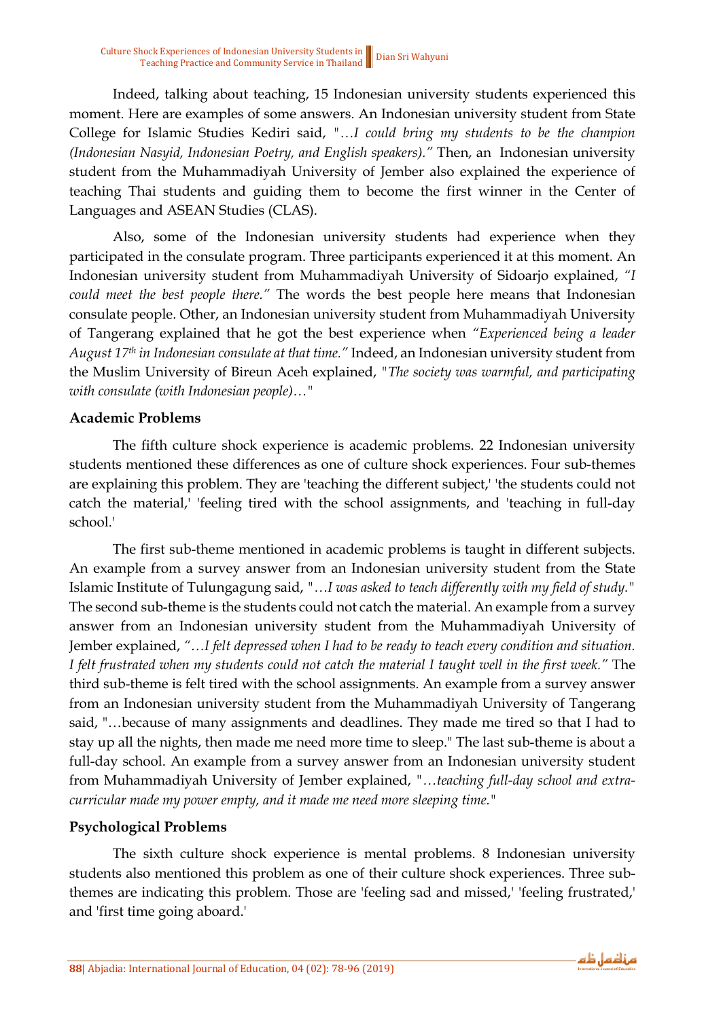Indeed, talking about teaching, 15 Indonesian university students experienced this moment. Here are examples of some answers. An Indonesian university student from State College for Islamic Studies Kediri said, *"…I could bring my students to be the champion (Indonesian Nasyid, Indonesian Poetry, and English speakers)."* Then, an Indonesian university student from the Muhammadiyah University of Jember also explained the experience of teaching Thai students and guiding them to become the first winner in the Center of Languages and ASEAN Studies (CLAS).

Also, some of the Indonesian university students had experience when they participated in the consulate program. Three participants experienced it at this moment. An Indonesian university student from Muhammadiyah University of Sidoarjo explained, *"I could meet the best people there."* The words the best people here means that Indonesian consulate people. Other, an Indonesian university student from Muhammadiyah University of Tangerang explained that he got the best experience when *"Experienced being a leader August 17th in Indonesian consulate at that time."* Indeed, an Indonesian university student from the Muslim University of Bireun Aceh explained, *"The society was warmful, and participating with consulate (with Indonesian people)…"*

#### **Academic Problems**

The fifth culture shock experience is academic problems. 22 Indonesian university students mentioned these differences as one of culture shock experiences. Four sub-themes are explaining this problem. They are 'teaching the different subject,' 'the students could not catch the material,' 'feeling tired with the school assignments, and 'teaching in full-day school.'

The first sub-theme mentioned in academic problems is taught in different subjects. An example from a survey answer from an Indonesian university student from the State Islamic Institute of Tulungagung said, *"…I was asked to teach differently with my field of study."*  The second sub-theme is the students could not catch the material. An example from a survey answer from an Indonesian university student from the Muhammadiyah University of Jember explained, *"…I felt depressed when I had to be ready to teach every condition and situation. I felt frustrated when my students could not catch the material I taught well in the first week."* The third sub-theme is felt tired with the school assignments. An example from a survey answer from an Indonesian university student from the Muhammadiyah University of Tangerang said, "…because of many assignments and deadlines. They made me tired so that I had to stay up all the nights, then made me need more time to sleep." The last sub-theme is about a full-day school. An example from a survey answer from an Indonesian university student from Muhammadiyah University of Jember explained, *"…teaching full-day school and extracurricular made my power empty, and it made me need more sleeping time."*

#### **Psychological Problems**

The sixth culture shock experience is mental problems. 8 Indonesian university students also mentioned this problem as one of their culture shock experiences. Three subthemes are indicating this problem. Those are 'feeling sad and missed,' 'feeling frustrated,' and 'first time going aboard.'

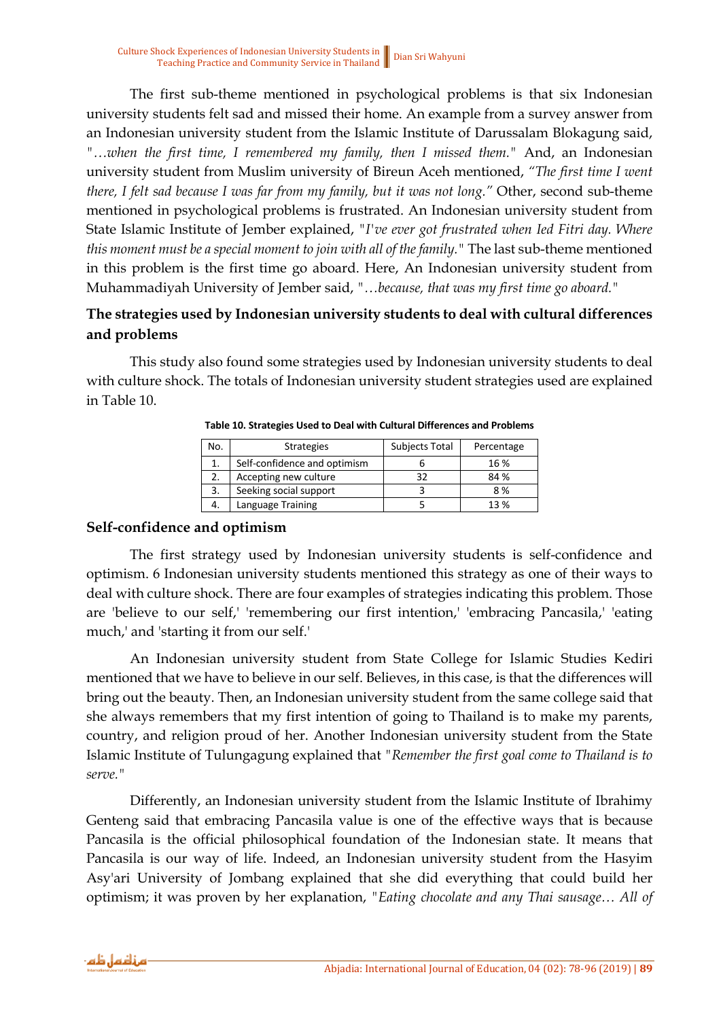The first sub-theme mentioned in psychological problems is that six Indonesian university students felt sad and missed their home. An example from a survey answer from an Indonesian university student from the Islamic Institute of Darussalam Blokagung said, *"…when the first time, I remembered my family, then I missed them."* And, an Indonesian university student from Muslim university of Bireun Aceh mentioned, *"The first time I went there, I felt sad because I was far from my family, but it was not long."* Other, second sub-theme mentioned in psychological problems is frustrated. An Indonesian university student from State Islamic Institute of Jember explained, *"I've ever got frustrated when Ied Fitri day. Where this moment must be a special moment to join with all of the family."* The last sub-theme mentioned in this problem is the first time go aboard. Here, An Indonesian university student from Muhammadiyah University of Jember said, *"…because, that was my first time go aboard."*

#### **The strategies used by Indonesian university students to deal with cultural differences and problems**

This study also found some strategies used by Indonesian university students to deal with culture shock. The totals of Indonesian university student strategies used are explained in Table 10.

| No. | <b>Strategies</b>            | <b>Subjects Total</b> | Percentage |
|-----|------------------------------|-----------------------|------------|
|     | Self-confidence and optimism |                       | 16%        |
|     | Accepting new culture        |                       | 84 %       |
|     | Seeking social support       |                       | 8%         |
|     | Language Training            |                       | 13%        |

**Table 10. Strategies Used to Deal with Cultural Differences and Problems**

#### **Self-confidence and optimism**

The first strategy used by Indonesian university students is self-confidence and optimism. 6 Indonesian university students mentioned this strategy as one of their ways to deal with culture shock. There are four examples of strategies indicating this problem. Those are 'believe to our self,' 'remembering our first intention,' 'embracing Pancasila,' 'eating much,' and 'starting it from our self.'

An Indonesian university student from State College for Islamic Studies Kediri mentioned that we have to believe in our self. Believes, in this case, is that the differences will bring out the beauty. Then, an Indonesian university student from the same college said that she always remembers that my first intention of going to Thailand is to make my parents, country, and religion proud of her. Another Indonesian university student from the State Islamic Institute of Tulungagung explained that *"Remember the first goal come to Thailand is to serve."*

Differently, an Indonesian university student from the Islamic Institute of Ibrahimy Genteng said that embracing Pancasila value is one of the effective ways that is because Pancasila is the official philosophical foundation of the Indonesian state. It means that Pancasila is our way of life. Indeed, an Indonesian university student from the Hasyim Asy'ari University of Jombang explained that she did everything that could build her optimism; it was proven by her explanation, *"Eating chocolate and any Thai sausage… All of*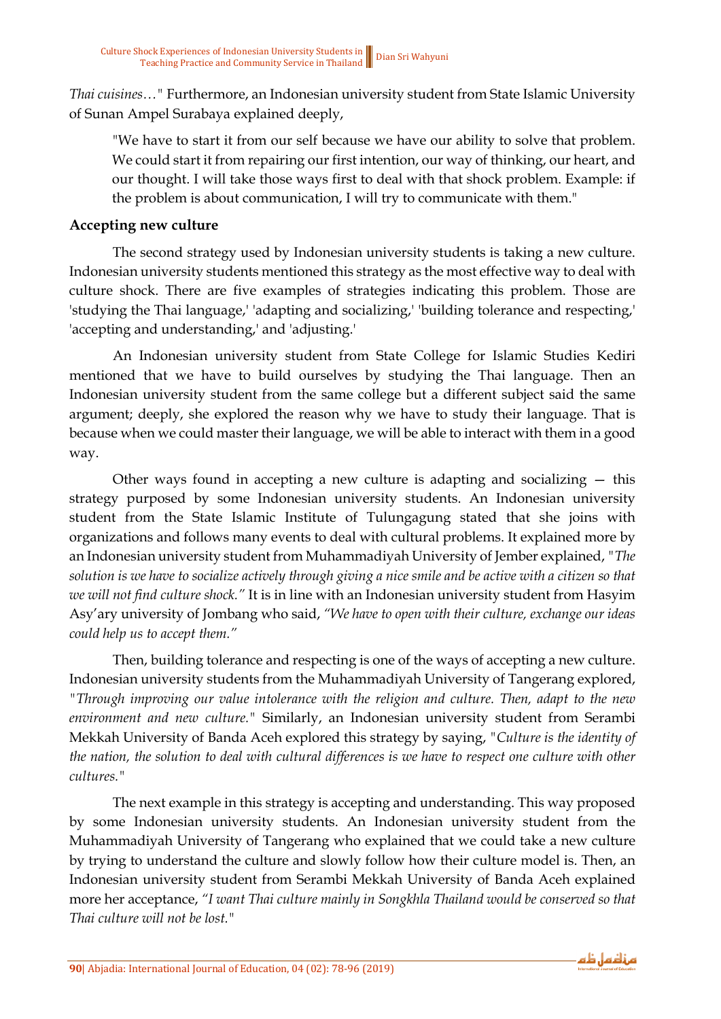*Thai cuisines…"* Furthermore, an Indonesian university student from State Islamic University of Sunan Ampel Surabaya explained deeply,

"We have to start it from our self because we have our ability to solve that problem. We could start it from repairing our first intention, our way of thinking, our heart, and our thought. I will take those ways first to deal with that shock problem. Example: if the problem is about communication, I will try to communicate with them."

#### **Accepting new culture**

The second strategy used by Indonesian university students is taking a new culture. Indonesian university students mentioned this strategy as the most effective way to deal with culture shock. There are five examples of strategies indicating this problem. Those are 'studying the Thai language,' 'adapting and socializing,' 'building tolerance and respecting,' 'accepting and understanding,' and 'adjusting.'

An Indonesian university student from State College for Islamic Studies Kediri mentioned that we have to build ourselves by studying the Thai language. Then an Indonesian university student from the same college but a different subject said the same argument; deeply, she explored the reason why we have to study their language. That is because when we could master their language, we will be able to interact with them in a good way.

Other ways found in accepting a new culture is adapting and socializing — this strategy purposed by some Indonesian university students. An Indonesian university student from the State Islamic Institute of Tulungagung stated that she joins with organizations and follows many events to deal with cultural problems. It explained more by an Indonesian university student from Muhammadiyah University of Jember explained, *"The solution is we have to socialize actively through giving a nice smile and be active with a citizen so that we will not find culture shock."* It is in line with an Indonesian university student from Hasyim Asy'ary university of Jombang who said, *"We have to open with their culture, exchange our ideas could help us to accept them."*

Then, building tolerance and respecting is one of the ways of accepting a new culture. Indonesian university students from the Muhammadiyah University of Tangerang explored, *"Through improving our value intolerance with the religion and culture. Then, adapt to the new environment and new culture."* Similarly, an Indonesian university student from Serambi Mekkah University of Banda Aceh explored this strategy by saying, *"Culture is the identity of the nation, the solution to deal with cultural differences is we have to respect one culture with other cultures."*

The next example in this strategy is accepting and understanding. This way proposed by some Indonesian university students. An Indonesian university student from the Muhammadiyah University of Tangerang who explained that we could take a new culture by trying to understand the culture and slowly follow how their culture model is. Then, an Indonesian university student from Serambi Mekkah University of Banda Aceh explained more her acceptance, *"I want Thai culture mainly in Songkhla Thailand would be conserved so that Thai culture will not be lost."*

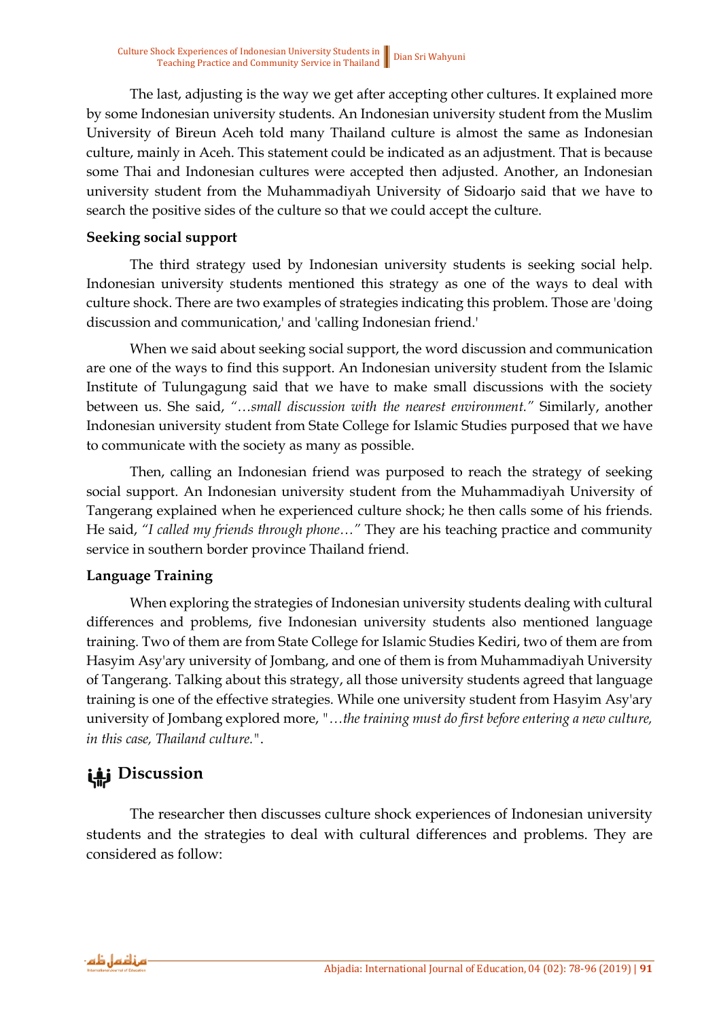The last, adjusting is the way we get after accepting other cultures. It explained more by some Indonesian university students. An Indonesian university student from the Muslim University of Bireun Aceh told many Thailand culture is almost the same as Indonesian culture, mainly in Aceh. This statement could be indicated as an adjustment. That is because some Thai and Indonesian cultures were accepted then adjusted. Another, an Indonesian university student from the Muhammadiyah University of Sidoarjo said that we have to search the positive sides of the culture so that we could accept the culture.

#### **Seeking social support**

The third strategy used by Indonesian university students is seeking social help. Indonesian university students mentioned this strategy as one of the ways to deal with culture shock. There are two examples of strategies indicating this problem. Those are 'doing discussion and communication,' and 'calling Indonesian friend.'

When we said about seeking social support, the word discussion and communication are one of the ways to find this support. An Indonesian university student from the Islamic Institute of Tulungagung said that we have to make small discussions with the society between us. She said, *"…small discussion with the nearest environment."* Similarly, another Indonesian university student from State College for Islamic Studies purposed that we have to communicate with the society as many as possible.

Then, calling an Indonesian friend was purposed to reach the strategy of seeking social support. An Indonesian university student from the Muhammadiyah University of Tangerang explained when he experienced culture shock; he then calls some of his friends. He said, *"I called my friends through phone…"* They are his teaching practice and community service in southern border province Thailand friend.

#### **Language Training**

When exploring the strategies of Indonesian university students dealing with cultural differences and problems, five Indonesian university students also mentioned language training. Two of them are from State College for Islamic Studies Kediri, two of them are from Hasyim Asy'ary university of Jombang, and one of them is from Muhammadiyah University of Tangerang. Talking about this strategy, all those university students agreed that language training is one of the effective strategies. While one university student from Hasyim Asy'ary university of Jombang explored more, *"…the training must do first before entering a new culture, in this case, Thailand culture."*.

## **Discussion**

The researcher then discusses culture shock experiences of Indonesian university students and the strategies to deal with cultural differences and problems. They are considered as follow:

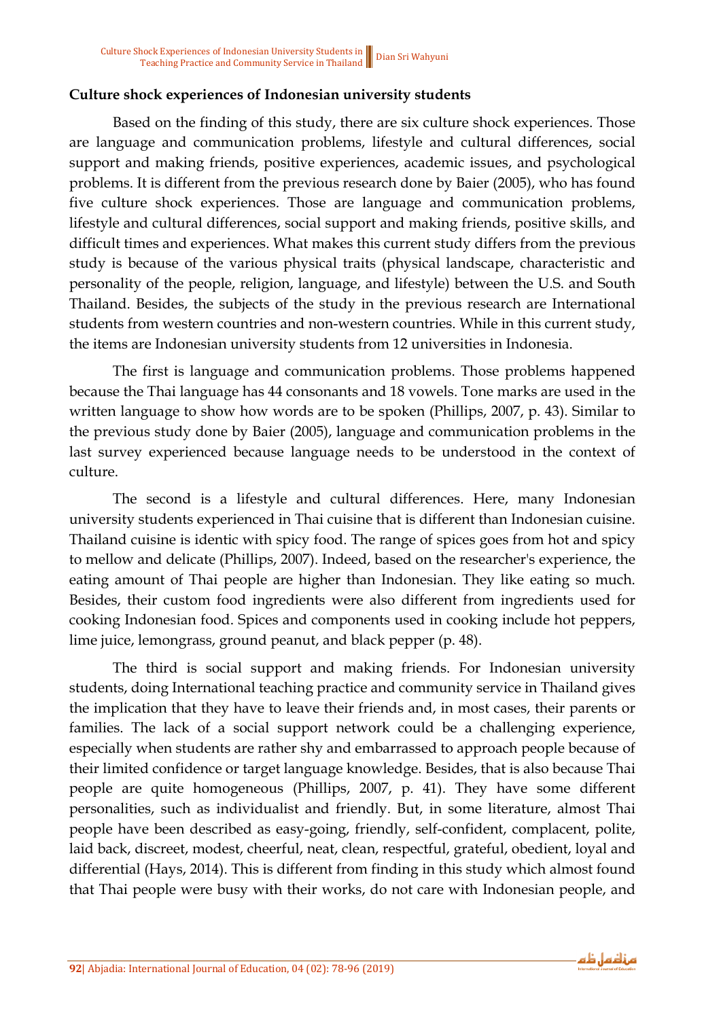#### **Culture shock experiences of Indonesian university students**

Based on the finding of this study, there are six culture shock experiences. Those are language and communication problems, lifestyle and cultural differences, social support and making friends, positive experiences, academic issues, and psychological problems. It is different from the previous research done by Baier (2005), who has found five culture shock experiences. Those are language and communication problems, lifestyle and cultural differences, social support and making friends, positive skills, and difficult times and experiences. What makes this current study differs from the previous study is because of the various physical traits (physical landscape, characteristic and personality of the people, religion, language, and lifestyle) between the U.S. and South Thailand. Besides, the subjects of the study in the previous research are International students from western countries and non-western countries. While in this current study, the items are Indonesian university students from 12 universities in Indonesia.

The first is language and communication problems. Those problems happened because the Thai language has 44 consonants and 18 vowels. Tone marks are used in the written language to show how words are to be spoken (Phillips, 2007, p. 43). Similar to the previous study done by Baier (2005), language and communication problems in the last survey experienced because language needs to be understood in the context of culture.

The second is a lifestyle and cultural differences. Here, many Indonesian university students experienced in Thai cuisine that is different than Indonesian cuisine. Thailand cuisine is identic with spicy food. The range of spices goes from hot and spicy to mellow and delicate (Phillips, 2007). Indeed, based on the researcher's experience, the eating amount of Thai people are higher than Indonesian. They like eating so much. Besides, their custom food ingredients were also different from ingredients used for cooking Indonesian food. Spices and components used in cooking include hot peppers, lime juice, lemongrass, ground peanut, and black pepper (p. 48).

The third is social support and making friends. For Indonesian university students, doing International teaching practice and community service in Thailand gives the implication that they have to leave their friends and, in most cases, their parents or families. The lack of a social support network could be a challenging experience, especially when students are rather shy and embarrassed to approach people because of their limited confidence or target language knowledge. Besides, that is also because Thai people are quite homogeneous (Phillips, 2007, p. 41). They have some different personalities, such as individualist and friendly. But, in some literature, almost Thai people have been described as easy-going, friendly, self-confident, complacent, polite, laid back, discreet, modest, cheerful, neat, clean, respectful, grateful, obedient, loyal and differential (Hays, 2014). This is different from finding in this study which almost found that Thai people were busy with their works, do not care with Indonesian people, and

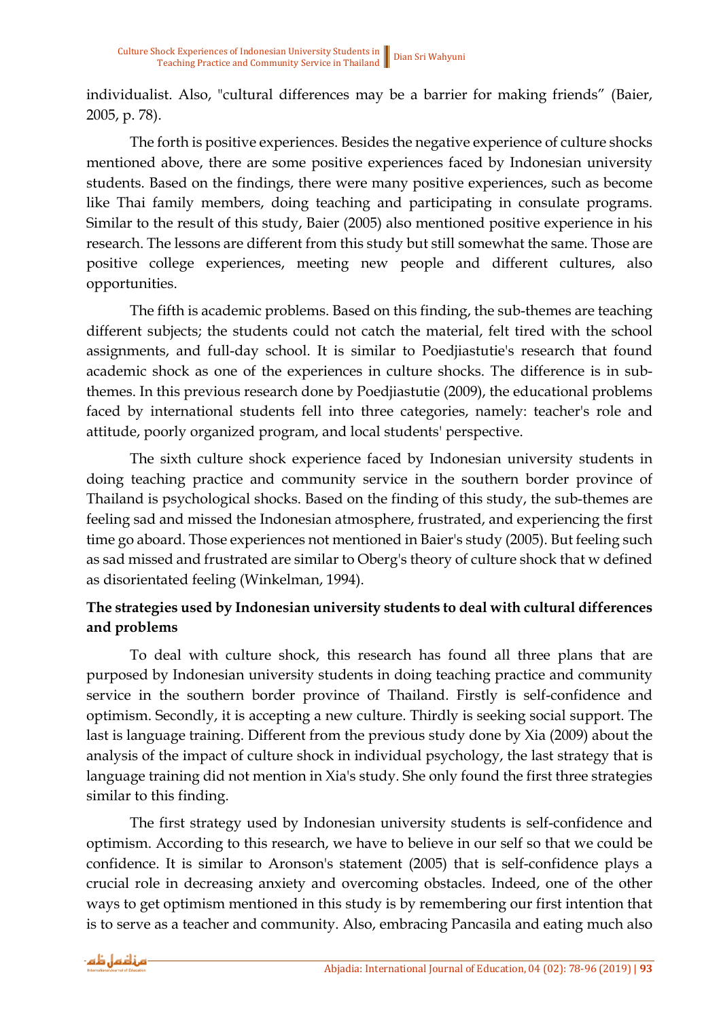individualist. Also, "cultural differences may be a barrier for making friends" (Baier, 2005, p. 78).

The forth is positive experiences. Besides the negative experience of culture shocks mentioned above, there are some positive experiences faced by Indonesian university students. Based on the findings, there were many positive experiences, such as become like Thai family members, doing teaching and participating in consulate programs. Similar to the result of this study, Baier (2005) also mentioned positive experience in his research. The lessons are different from this study but still somewhat the same. Those are positive college experiences, meeting new people and different cultures, also opportunities.

The fifth is academic problems. Based on this finding, the sub-themes are teaching different subjects; the students could not catch the material, felt tired with the school assignments, and full-day school. It is similar to Poedjiastutie's research that found academic shock as one of the experiences in culture shocks. The difference is in subthemes. In this previous research done by Poedjiastutie (2009), the educational problems faced by international students fell into three categories, namely: teacher's role and attitude, poorly organized program, and local students' perspective.

The sixth culture shock experience faced by Indonesian university students in doing teaching practice and community service in the southern border province of Thailand is psychological shocks. Based on the finding of this study, the sub-themes are feeling sad and missed the Indonesian atmosphere, frustrated, and experiencing the first time go aboard. Those experiences not mentioned in Baier's study (2005). But feeling such as sad missed and frustrated are similar to Oberg's theory of culture shock that w defined as disorientated feeling (Winkelman, 1994).

### **The strategies used by Indonesian university students to deal with cultural differences and problems**

To deal with culture shock, this research has found all three plans that are purposed by Indonesian university students in doing teaching practice and community service in the southern border province of Thailand. Firstly is self-confidence and optimism. Secondly, it is accepting a new culture. Thirdly is seeking social support. The last is language training. Different from the previous study done by Xia (2009) about the analysis of the impact of culture shock in individual psychology, the last strategy that is language training did not mention in Xia's study. She only found the first three strategies similar to this finding.

The first strategy used by Indonesian university students is self-confidence and optimism. According to this research, we have to believe in our self so that we could be confidence. It is similar to Aronson's statement (2005) that is self-confidence plays a crucial role in decreasing anxiety and overcoming obstacles. Indeed, one of the other ways to get optimism mentioned in this study is by remembering our first intention that is to serve as a teacher and community. Also, embracing Pancasila and eating much also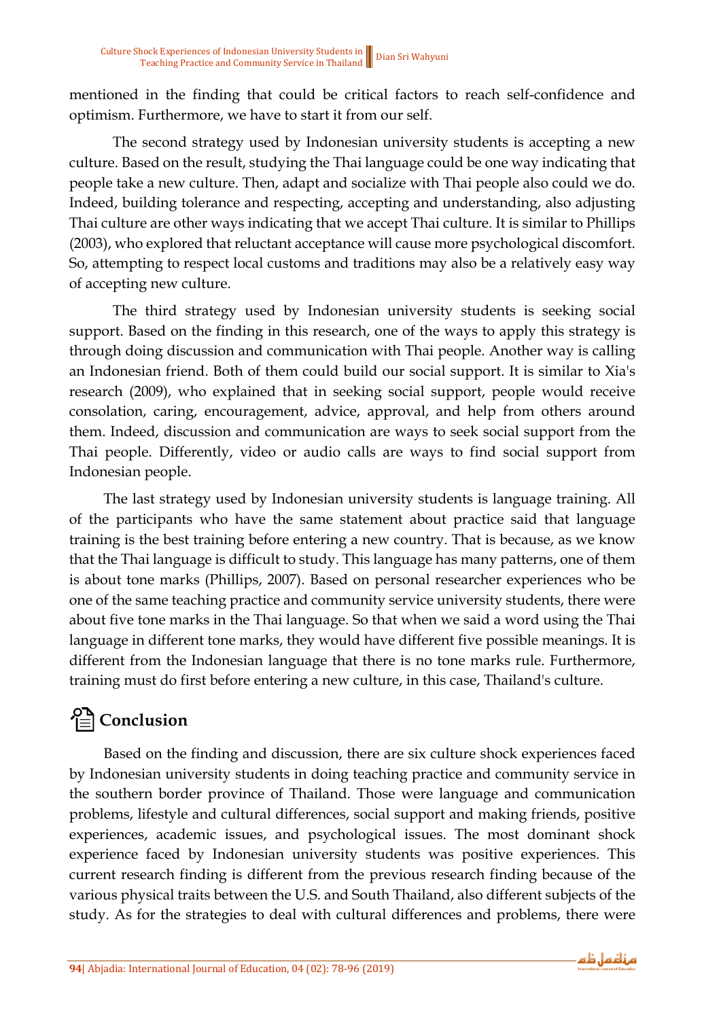mentioned in the finding that could be critical factors to reach self-confidence and optimism. Furthermore, we have to start it from our self.

The second strategy used by Indonesian university students is accepting a new culture. Based on the result, studying the Thai language could be one way indicating that people take a new culture. Then, adapt and socialize with Thai people also could we do. Indeed, building tolerance and respecting, accepting and understanding, also adjusting Thai culture are other ways indicating that we accept Thai culture. It is similar to Phillips (2003), who explored that reluctant acceptance will cause more psychological discomfort. So, attempting to respect local customs and traditions may also be a relatively easy way of accepting new culture.

The third strategy used by Indonesian university students is seeking social support. Based on the finding in this research, one of the ways to apply this strategy is through doing discussion and communication with Thai people. Another way is calling an Indonesian friend. Both of them could build our social support. It is similar to Xia's research (2009), who explained that in seeking social support, people would receive consolation, caring, encouragement, advice, approval, and help from others around them. Indeed, discussion and communication are ways to seek social support from the Thai people. Differently, video or audio calls are ways to find social support from Indonesian people.

The last strategy used by Indonesian university students is language training. All of the participants who have the same statement about practice said that language training is the best training before entering a new country. That is because, as we know that the Thai language is difficult to study. This language has many patterns, one of them is about tone marks (Phillips, 2007). Based on personal researcher experiences who be one of the same teaching practice and community service university students, there were about five tone marks in the Thai language. So that when we said a word using the Thai language in different tone marks, they would have different five possible meanings. It is different from the Indonesian language that there is no tone marks rule. Furthermore, training must do first before entering a new culture, in this case, Thailand's culture.

# **Conclusion**

Based on the finding and discussion, there are six culture shock experiences faced by Indonesian university students in doing teaching practice and community service in the southern border province of Thailand. Those were language and communication problems, lifestyle and cultural differences, social support and making friends, positive experiences, academic issues, and psychological issues. The most dominant shock experience faced by Indonesian university students was positive experiences. This current research finding is different from the previous research finding because of the various physical traits between the U.S. and South Thailand, also different subjects of the study. As for the strategies to deal with cultural differences and problems, there were

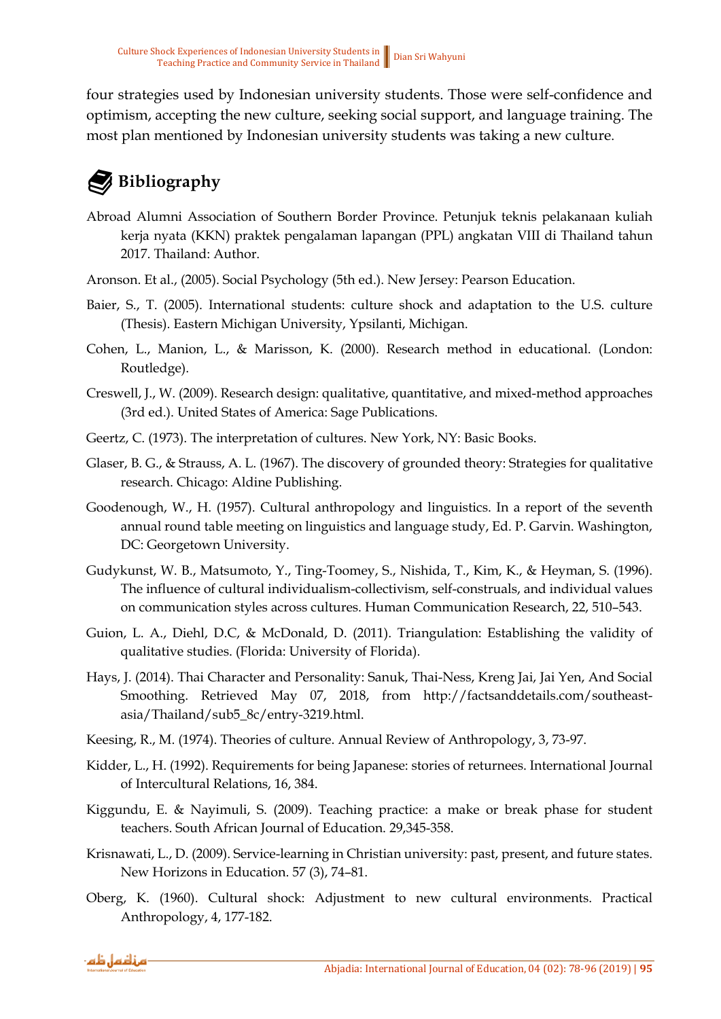four strategies used by Indonesian university students. Those were self-confidence and optimism, accepting the new culture, seeking social support, and language training. The most plan mentioned by Indonesian university students was taking a new culture.

# **Bibliography**

- Abroad Alumni Association of Southern Border Province. Petunjuk teknis pelakanaan kuliah kerja nyata (KKN) praktek pengalaman lapangan (PPL) angkatan VIII di Thailand tahun 2017. Thailand: Author.
- Aronson. Et al., (2005). Social Psychology (5th ed.). New Jersey: Pearson Education.
- Baier, S., T. (2005). International students: culture shock and adaptation to the U.S. culture (Thesis). Eastern Michigan University, Ypsilanti, Michigan.
- Cohen, L., Manion, L., & Marisson, K. (2000). Research method in educational. (London: Routledge).
- Creswell, J., W. (2009). Research design: qualitative, quantitative, and mixed-method approaches (3rd ed.). United States of America: Sage Publications.
- Geertz, C. (1973). The interpretation of cultures. New York, NY: Basic Books.
- Glaser, B. G., & Strauss, A. L. (1967). The discovery of grounded theory: Strategies for qualitative research. Chicago: Aldine Publishing.
- Goodenough, W., H. (1957). Cultural anthropology and linguistics. In a report of the seventh annual round table meeting on linguistics and language study, Ed. P. Garvin. Washington, DC: Georgetown University.
- Gudykunst, W. B., Matsumoto, Y., Ting-Toomey, S., Nishida, T., Kim, K., & Heyman, S. (1996). The influence of cultural individualism-collectivism, self-construals, and individual values on communication styles across cultures. Human Communication Research, 22, 510–543.
- Guion, L. A., Diehl, D.C, & McDonald, D. (2011). Triangulation: Establishing the validity of qualitative studies. (Florida: University of Florida).
- Hays, J. (2014). Thai Character and Personality: Sanuk, Thai-Ness, Kreng Jai, Jai Yen, And Social Smoothing. Retrieved May 07, 2018, from http://factsanddetails.com/southeastasia/Thailand/sub5\_8c/entry-3219.html.
- Keesing, R., M. (1974). Theories of culture. Annual Review of Anthropology, 3, 73-97.
- Kidder, L., H. (1992). Requirements for being Japanese: stories of returnees. International Journal of Intercultural Relations, 16, 384.
- Kiggundu, E. & Nayimuli, S. (2009). Teaching practice: a make or break phase for student teachers. South African Journal of Education. 29,345-358.
- Krisnawati, L., D. (2009). Service-learning in Christian university: past, present, and future states. New Horizons in Education. 57 (3), 74–81.
- Oberg, K. (1960). Cultural shock: Adjustment to new cultural environments. Practical Anthropology, 4, 177-182.